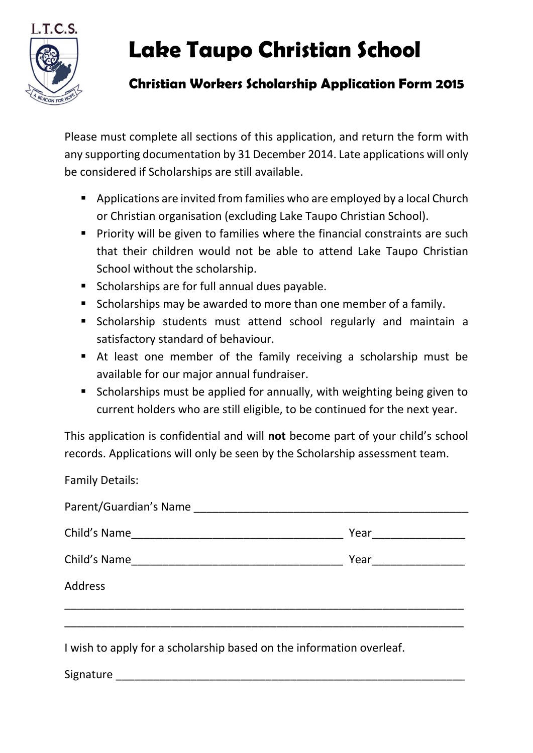

## **Lake Taupo Christian School**

## **Christian Workers Scholarship Application Form 2015**

Please must complete all sections of this application, and return the form with any supporting documentation by 31 December 2014. Late applications will only be considered if Scholarships are still available.

- **Applications are invited from families who are employed by a local Church** or Christian organisation (excluding Lake Taupo Christian School).
- **Priority will be given to families where the financial constraints are such** that their children would not be able to attend Lake Taupo Christian School without the scholarship.
- **Scholarships are for full annual dues payable.**
- **Scholarships may be awarded to more than one member of a family.**
- Scholarship students must attend school regularly and maintain a satisfactory standard of behaviour.
- At least one member of the family receiving a scholarship must be available for our major annual fundraiser.
- **Scholarships must be applied for annually, with weighting being given to** current holders who are still eligible, to be continued for the next year.

This application is confidential and will **not** become part of your child's school records. Applications will only be seen by the Scholarship assessment team.

Family Details:

| Parent/Guardian's Name |                      |
|------------------------|----------------------|
|                        | Year _______________ |
|                        |                      |
| <b>Address</b>         |                      |
|                        |                      |
|                        |                      |

I wish to apply for a scholarship based on the information overleaf.

Signature \_\_\_\_\_\_\_\_\_\_\_\_\_\_\_\_\_\_\_\_\_\_\_\_\_\_\_\_\_\_\_\_\_\_\_\_\_\_\_\_\_\_\_\_\_\_\_\_\_\_\_\_\_\_\_\_